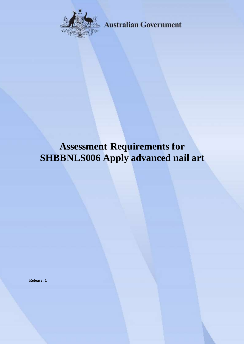

**Australian Government** 

# **Assessment Requirements for SHBBNLS006 Apply advanced nail art**

**Release: 1**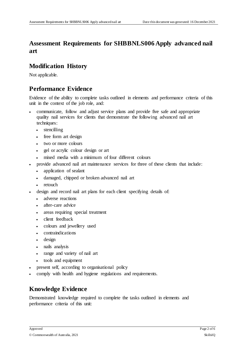## **Assessment Requirements for SHBBNLS006 Apply advanced nail art**

#### **Modification History**

Not applicable.

## **Performance Evidence**

Evidence of the ability to complete tasks outlined in elements and performance criteria of this unit in the context of the job role, and:

- communicate, follow and adjust service plans and provide five safe and appropriate quality nail services for clients that demonstrate the following advanced nail art techniques:
	- stencilling
	- free form art design
	- two or more colours
	- gel or acrylic colour design or art
	- mixed media with a minimum of four different colours
- provide advanced nail art maintenance services for three of these clients that include:
	- application of sealant
	- damaged, chipped or broken advanced nail art
	- retouch
- design and record nail art plans for each client specifying details of:
	- adverse reactions
	- after-care advice
	- areas requiring special treatment
	- client feedback
	- colours and jewellery used
	- contraindications
	- design
	- nails analysis
	- range and variety of nail art
	- tools and equipment
- present self, according to organisational policy
- comply with health and hygiene regulations and requirements.

## **Knowledge Evidence**

Demonstrated knowledge required to complete the tasks outlined in elements and performance criteria of this unit: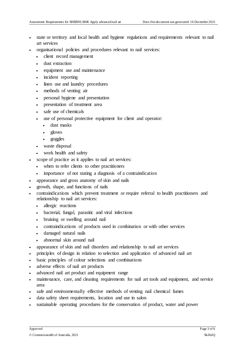- state or territory and local health and hygiene regulations and requirements relevant to nail art services
- organisational policies and procedures relevant to nail services:
	- client record management
	- dust extraction
	- equipment use and maintenance
	- incident reporting
	- linen use and laundry procedures
	- methods of venting air
	- personal hygiene and presentation
	- presentation of treatment area
	- safe use of chemicals
	- use of personal protective equipment for client and operator:
		- dust masks
		- $\cdot$  gloves
		- goggles
	- waste disposal
	- work health and safety
- scope of practice as it applies to nail art services:
	- when to refer clients to other practitioners
	- importance of not stating a diagnosis of a contraindication
- appearance and gross anatomy of skin and nails
- growth, shape, and functions of nails
- contraindications which prevent treatment or require referral to health practitioners and relationship to nail art services:
	- allergic reactions
	- bacterial, fungal, parasitic and viral infections
	- bruising or swelling around nail
	- contraindications of products used in combination or with other services
	- damaged natural nails
	- abnormal skin around nail
- appearance of skin and nail disorders and relationship to nail art services
- principles of design in relation to selection and application of advanced nail art
- basic principles of colour selections and combinations
- adverse effects of nail art products
- advanced nail art product and equipment range
- maintenance, care, and cleaning requirements for nail art tools and equipment, and service area
- safe and environmentally effective methods of venting nail chemical fumes
- data safety sheet requirements, location and use in salon
- sustainable operating procedures for the conservation of product, water and power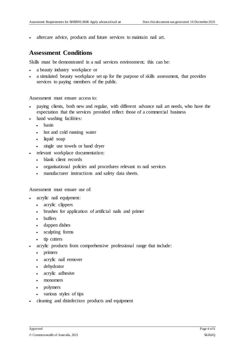aftercare advice, products and future services to maintain nail art.

#### **Assessment Conditions**

Skills must be demonstrated in a nail services environment; this can be:

- a beauty industry workplace or
- a simulated beauty workplace set up for the purpose of skills assessment, that provides services to paying members of the public.

Assessment must ensure access to:

- paying clients, both new and regular, with different advance nail art needs, who have the expectation that the services provided reflect those of a commercial business
- hand washing facilities:
	- basin
	- hot and cold running water
	- liquid soap
	- single use towels or hand dryer
- relevant workplace documentation:
	- blank client records
	- organisational policies and procedures relevant to nail services
	- manufacturer instructions and safety data sheets.

Assessment must ensure use of:

- acrylic nail equipment:
	- acrylic clippers
	- brushes for application of artificial nails and primer
	- buffers
	- dappen dishes
	- sculpting forms
	- tip cutters
- acrylic products from comprehensive professional range that include:
	- primers
	- acrylic nail remover
	- dehydrator
	- acrylic adhesive
	- monomers
	- polymers
	- various styles of tips
- cleaning and disinfection products and equipment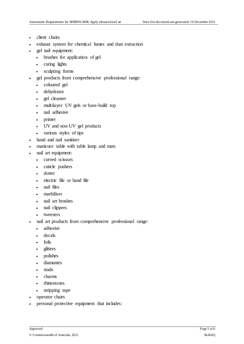- client chairs
- exhaust system for chemical fumes and dust extraction
- gel nail equipment:
	- brushes for application of gel
	- curing lights
	- sculpting forms
- gel products from comprehensive professional range:
	- coloured gel
	- dehydrator
	- gel cleanser
	- multilayer UV gels or base-build top
	- nail adhesive
	- primer
	- UV and non-UV gel products
	- various styles of tips
- hand and nail sanitiser
- manicure table with table lamp and mats
- nail art equipment:
	- curved scissors
	- cuticle pushers
	- dotter
	- electric file or hand file
	- nail files
	- marbiliser
	- nail art brushes
	- nail clippers
	- tweezers
- nail art products from comprehensive professional range:
	- adhesive
	- decals
	- foils
	- glitters
	- polishes
	- diamantes
	- studs
	- charms
	- rhinestones
	- stripping tape
- operator chairs
- personal protective equipment that includes: